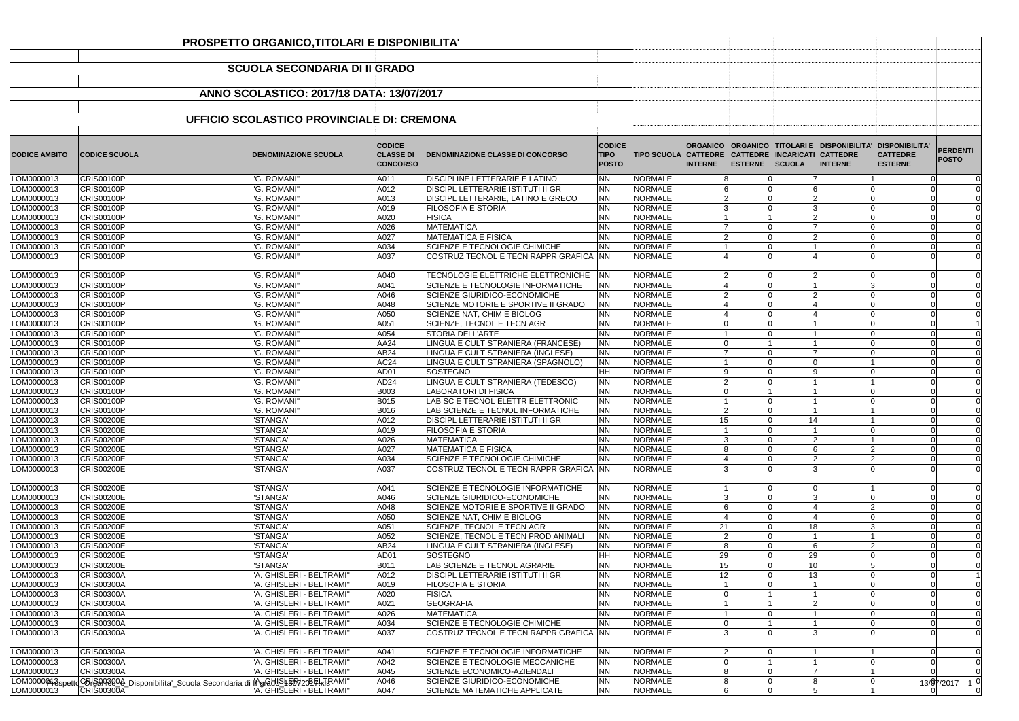|                          | PROSPETTO ORGANICO, TITOLARI E DISPONIBILITA'                                |                                                      |                                                      |                                                                                       |                                              |                                                                  |                                                                                                        |                                                                              |                                 |
|--------------------------|------------------------------------------------------------------------------|------------------------------------------------------|------------------------------------------------------|---------------------------------------------------------------------------------------|----------------------------------------------|------------------------------------------------------------------|--------------------------------------------------------------------------------------------------------|------------------------------------------------------------------------------|---------------------------------|
|                          |                                                                              |                                                      |                                                      |                                                                                       |                                              |                                                                  |                                                                                                        |                                                                              |                                 |
|                          |                                                                              | <b>SCUOLA SECONDARIA DI II GRADO</b>                 |                                                      |                                                                                       |                                              |                                                                  |                                                                                                        |                                                                              |                                 |
|                          |                                                                              |                                                      |                                                      |                                                                                       |                                              |                                                                  |                                                                                                        |                                                                              |                                 |
|                          |                                                                              | ANNO SCOLASTICO: 2017/18 DATA: 13/07/2017            |                                                      |                                                                                       |                                              |                                                                  |                                                                                                        |                                                                              |                                 |
|                          |                                                                              |                                                      |                                                      |                                                                                       |                                              |                                                                  |                                                                                                        |                                                                              |                                 |
|                          |                                                                              | UFFICIO SCOLASTICO PROVINCIALE DI: CREMONA           |                                                      |                                                                                       |                                              |                                                                  |                                                                                                        |                                                                              |                                 |
|                          |                                                                              |                                                      |                                                      |                                                                                       |                                              |                                                                  |                                                                                                        |                                                                              |                                 |
| <b>CODICE AMBITO</b>     | <b>CODICE SCUOLA</b>                                                         | <b>DENOMINAZIONE SCUOLA</b>                          | <b>CODICE</b><br><b>CLASSE DI</b><br><b>CONCORSO</b> | <b>DENOMINAZIONE CLASSE DI CONCORSO</b>                                               | <b>CODICE</b><br><b>TIPO</b><br><b>POSTO</b> | <b>ORGANICO</b><br><b>TIPO SCUOLA CATTEDRE</b><br><b>INTERNE</b> | <b>ORGANICO TITOLARI E DISPONIBILITA'</b><br>CATTEDRE  INCARICATI CATTEDRE<br><b>ESTERNE</b><br>SCUOLA | <b>DISPONIBILITA'</b><br><b>CATTEDRE</b><br><b>INTERNE</b><br><b>ESTERNE</b> | <b>PERDENTI</b><br><b>POSTO</b> |
| LOM0000013               | <b>CRIS00100P</b>                                                            | "G. ROMANI'                                          | A011                                                 | <b>DISCIPLINE LETTERARIE E LATINO</b>                                                 | <b>NN</b>                                    | <b>NORMALE</b>                                                   |                                                                                                        |                                                                              |                                 |
| LOM0000013<br>LOM0000013 | <b>CRIS00100P</b><br><b>CRIS00100P</b>                                       | "G. ROMANI"<br>"G. ROMANI"                           | A012<br>A013                                         | <b>DISCIPL LETTERARIE ISTITUTI II GR</b><br><b>DISCIPL LETTERARIE, LATINO E GRECO</b> | <b>NN</b><br><b>NN</b>                       | <b>NORMALE</b><br><b>NORMALE</b>                                 |                                                                                                        |                                                                              |                                 |
| LOM0000013               | <b>CRIS00100P</b>                                                            | "G. ROMANI"                                          | A019                                                 | <b>FILOSOFIA E STORIA</b>                                                             | <b>NN</b>                                    | <b>NORMALE</b>                                                   |                                                                                                        |                                                                              |                                 |
| LOM0000013               | <b>CRIS00100P</b>                                                            | "G. ROMANI'                                          | A020                                                 | <b>FISICA</b>                                                                         | <b>NN</b>                                    | <b>NORMALE</b>                                                   |                                                                                                        |                                                                              |                                 |
| LOM0000013               | <b>CRIS00100P</b>                                                            | "G. ROMANI"                                          | A026                                                 | <b>MATEMATICA</b>                                                                     | <b>NN</b>                                    | <b>NORMALE</b>                                                   |                                                                                                        |                                                                              |                                 |
| LOM0000013<br>LOM0000013 | <b>CRIS00100P</b><br><b>CRIS00100P</b>                                       | "G. ROMANI"<br>"G. ROMANI"                           | A027<br>A034                                         | <b>MATEMATICA E FISICA</b><br>SCIENZE E TECNOLOGIE CHIMICHE                           | <b>NN</b><br><b>NN</b>                       | <b>NORMALE</b><br><b>NORMALE</b>                                 |                                                                                                        |                                                                              |                                 |
| LOM0000013               | CRIS00100P                                                                   | "G. ROMANI'                                          | A037                                                 | COSTRUZ TECNOL E TECN RAPPR GRAFICA NN                                                |                                              | <b>NORMALE</b>                                                   |                                                                                                        |                                                                              |                                 |
|                          |                                                                              |                                                      |                                                      |                                                                                       |                                              |                                                                  |                                                                                                        |                                                                              |                                 |
| LOM0000013               | <b>CRIS00100P</b>                                                            | "G. ROMANI'                                          | A040                                                 | TECNOLOGIE ELETTRICHE ELETTRONICHE   NN                                               |                                              | <b>NORMALE</b>                                                   |                                                                                                        |                                                                              |                                 |
| LOM0000013               | <b>CRIS00100P</b>                                                            | "G. ROMANI"                                          | A041                                                 | SCIENZE E TECNOLOGIE INFORMATICHE                                                     | <b>NN</b>                                    | <b>NORMALE</b>                                                   |                                                                                                        |                                                                              |                                 |
| LOM0000013<br>LOM0000013 | CRIS00100P<br><b>CRIS00100P</b>                                              | "G. ROMANI'<br>"G. ROMANI'                           | A046<br>A048                                         | <b>SCIENZE GIURIDICO-ECONOMICHE</b><br>SCIENZE MOTORIE E SPORTIVE II GRADO            | <b>NN</b><br><b>NN</b>                       | NORMALE<br><b>NORMALE</b>                                        |                                                                                                        |                                                                              |                                 |
| LOM0000013               | <b>CRIS00100P</b>                                                            | "G. ROMANI"                                          | A050                                                 | SCIENZE NAT, CHIM E BIOLOG                                                            | <b>NN</b>                                    | <b>NORMALE</b>                                                   |                                                                                                        |                                                                              |                                 |
| LOM0000013               | <b>CRIS00100P</b>                                                            | "G. ROMANI"                                          | A051                                                 | SCIENZE, TECNOL E TECN AGR                                                            | <b>NN</b>                                    | <b>NORMALE</b>                                                   | $\Omega$                                                                                               |                                                                              |                                 |
| LOM0000013               | <b>CRIS00100P</b>                                                            | "G. ROMANI'                                          | A054                                                 | <b>STORIA DELL'ARTE</b>                                                               | <b>NN</b>                                    | <b>NORMALE</b>                                                   |                                                                                                        |                                                                              |                                 |
| LOM0000013               | CRIS00100P                                                                   | "G. ROMANI'                                          | <b>AA24</b>                                          | LINGUA E CULT STRANIERA (FRANCESE)                                                    | <b>NN</b>                                    | <b>NORMALE</b>                                                   |                                                                                                        |                                                                              |                                 |
| LOM0000013<br>LOM0000013 | <b>CRIS00100P</b><br><b>CRIS00100P</b>                                       | "G. ROMANI'<br>"G. ROMANI"                           | AB24<br>AC <sub>24</sub>                             | LINGUA E CULT STRANIERA (INGLESE)<br>LINGUA E CULT STRANIERA (SPAGNOLO)               | <b>NN</b><br><b>NN</b>                       | <b>NORMALE</b><br><b>NORMALE</b>                                 |                                                                                                        |                                                                              | $\Omega$                        |
| LOM0000013               | <b>CRIS00100P</b>                                                            | "G. ROMANI"                                          | AD01                                                 | SOSTEGNO                                                                              | HН                                           | <b>NORMALE</b>                                                   |                                                                                                        |                                                                              | $\Omega$                        |
| LOM0000013               | <b>CRIS00100P</b>                                                            | "G. ROMANI'                                          | AD <sub>24</sub>                                     | LINGUA E CULT STRANIERA (TEDESCO)                                                     | <b>NN</b>                                    | <b>NORMALE</b>                                                   |                                                                                                        |                                                                              |                                 |
| LOM0000013               | CRIS00100P                                                                   | "G. ROMANI'                                          | <b>B003</b>                                          | <b>LABORATORI DI FISICA</b>                                                           | <b>NN</b>                                    | NORMALE                                                          |                                                                                                        |                                                                              | $\overline{0}$                  |
| LOM0000013               | <b>CRIS00100P</b>                                                            | "G. ROMANI'                                          | <b>B015</b>                                          | LAB SC E TECNOL ELETTR ELETTRONIC                                                     | <b>NN</b>                                    | <b>NORMALE</b>                                                   |                                                                                                        |                                                                              |                                 |
| LOM0000013<br>LOM0000013 | <b>CRIS00100P</b><br>CRIS00200E                                              | "G. ROMANI'<br>"STANGA"                              | B016<br>A012                                         | LAB SCIENZE E TECNOL INFORMATICHE<br><b>DISCIPL LETTERARIE ISTITUTI II GR</b>         | <b>NN</b><br>$\overline{\mathsf{NN}}$        | <b>NORMALE</b><br>NORMALE                                        |                                                                                                        | U                                                                            | $\Omega$                        |
| LOM0000013               | <b>CRIS00200E</b>                                                            | "STANGA"                                             | A019                                                 | <b>FILOSOFIA E STORIA</b>                                                             | <b>NN</b>                                    | <b>NORMALE</b>                                                   | $\Omega$                                                                                               |                                                                              | $\Omega$                        |
| LOM0000013               | <b>CRIS00200E</b>                                                            | "STANGA"                                             | A026                                                 | <b>MATEMATICA</b>                                                                     | ΝN                                           | <b>NORMALE</b>                                                   |                                                                                                        |                                                                              |                                 |
| LOM0000013               | <b>CRIS00200E</b>                                                            | "STANGA"                                             | A027                                                 | <b>MATEMATICA E FISICA</b>                                                            | <b>NN</b>                                    | <b>NORMALE</b>                                                   | $\cap$                                                                                                 |                                                                              | $\overline{0}$                  |
| LOM0000013               | <b>CRIS00200E</b>                                                            | "STANGA"                                             | A034                                                 | SCIENZE E TECNOLOGIE CHIMICHE                                                         | <b>NN</b>                                    | <b>NORMALE</b>                                                   |                                                                                                        |                                                                              |                                 |
| LOM0000013               | <b>CRIS00200E</b>                                                            | "STANGA"                                             | A037                                                 | COSTRUZ TECNOL E TECN RAPPR GRAFICA INN                                               |                                              | <b>NORMALE</b>                                                   |                                                                                                        |                                                                              |                                 |
| LOM0000013               | <b>CRIS00200E</b>                                                            | "STANGA"                                             | A041                                                 | SCIENZE E TECNOLOGIE INFORMATICHE                                                     | <b>INN</b>                                   | <b>NORMALE</b>                                                   |                                                                                                        |                                                                              |                                 |
| LOM0000013               | <b>CRIS00200E</b>                                                            | "STANGA"                                             | A046                                                 | SCIENZE GIURIDICO-ECONOMICHE                                                          | <b>NN</b>                                    | <b>NORMALE</b>                                                   |                                                                                                        |                                                                              |                                 |
| LOM0000013               | <b>CRIS00200E</b>                                                            | "STANGA"                                             | A048                                                 | <b>SCIENZE MOTORIE E SPORTIVE II GRADO</b>                                            | <b>NN</b>                                    | <b>NORMALE</b>                                                   |                                                                                                        |                                                                              |                                 |
| LOM0000013<br>LOM0000013 | <b>CRIS00200E</b><br><b>CRIS00200E</b>                                       | "STANGA"<br>"STANGA"                                 | A050<br>A051                                         | SCIENZE NAT, CHIM E BIOLOG<br><b>SCIENZE, TECNOL E TECN AGR</b>                       | ΝN<br><b>NN</b>                              | NORMALE<br><b>NORMALE</b><br>21                                  | 18                                                                                                     |                                                                              | $\overline{0}$                  |
| LOM0000013               | <b>CRIS00200E</b>                                                            | "STANGA"                                             | A052                                                 | SCIENZE, TECNOL E TECN PROD ANIMALI                                                   | <b>NN</b>                                    | <b>NORMALE</b>                                                   | $\Omega$                                                                                               |                                                                              | $\overline{0}$                  |
| LOM0000013               | <b>CRIS00200E</b>                                                            | "STANGA"                                             | AB24                                                 | LINGUA E CULT STRANIERA (INGLESE)                                                     | <b>NN</b>                                    | <b>NORMALE</b>                                                   |                                                                                                        |                                                                              |                                 |
| LOM0000013               | <b>CRIS00200E</b>                                                            | "STANGA"                                             | AD01                                                 | SOSTEGNO                                                                              | HH                                           | <b>NORMALE</b><br>29                                             | 29                                                                                                     |                                                                              |                                 |
| LOM0000013               | <b>CRIS00200E</b>                                                            | "STANGA"                                             | B011                                                 | LAB SCIENZE E TECNOL AGRARIE                                                          | <b>NN</b>                                    | <b>NORMALE</b><br>15                                             | 10                                                                                                     |                                                                              |                                 |
| LOM0000013               | CRIS00300A<br>CRIS00300A                                                     | "A. GHISLERI - BELTRAMI"                             | A012                                                 | <b>DISCIPL LETTERARIE ISTITUTI II GR</b><br><b>FILOSOFIA E STORIA</b>                 | <b>NN</b>                                    | <b>NORMALE</b><br>12<br><b>NORMALE</b>                           | 13                                                                                                     |                                                                              |                                 |
| LOM0000013<br>LOM0000013 | CRIS00300A                                                                   | "A. GHISLERI - BELTRAMI"<br>"A. GHISLERI - BELTRAMI" | A019<br>A020                                         | <b>FISICA</b>                                                                         | <b>NN</b><br><b>NN</b>                       | <b>NORMALE</b>                                                   |                                                                                                        |                                                                              | $\Omega$                        |
| LOM0000013               | CRIS00300A                                                                   | "A. GHISLERI - BELTRAMI"                             | A021                                                 | <b>GEOGRAFIA</b>                                                                      | <b>NN</b>                                    | NORMALE                                                          |                                                                                                        |                                                                              |                                 |
| LOM0000013               | CRIS00300A                                                                   | "A. GHISLERI - BELTRAMI"                             | A026                                                 | <b>MATEMATICA</b>                                                                     | <b>NN</b>                                    | <b>NORMALE</b>                                                   |                                                                                                        |                                                                              |                                 |
| LOM0000013               | CRIS00300A                                                                   | "A. GHISLERI - BELTRAMI"                             | A034                                                 | SCIENZE E TECNOLOGIE CHIMICHE                                                         | <b>NN</b>                                    | <b>NORMALE</b>                                                   |                                                                                                        |                                                                              |                                 |
| LOM0000013               | CRIS00300A                                                                   | "A. GHISLERI - BELTRAMI"                             | A037                                                 | COSTRUZ TECNOL E TECN RAPPR GRAFICA INN                                               |                                              | <b>NORMALE</b>                                                   |                                                                                                        |                                                                              |                                 |
| LOM0000013               | CRIS00300A                                                                   | "A. GHISLERI - BELTRAMI"                             | A041                                                 | SCIENZE E TECNOLOGIE INFORMATICHE                                                     | <b>INN</b>                                   | <b>NORMALE</b>                                                   | $\Omega$                                                                                               |                                                                              |                                 |
| LOM0000013<br>LOM0000013 | CRIS00300A<br>CRIS00300A                                                     | "A. GHISLERI - BELTRAMI"<br>"A. GHISLERI - BELTRAMI" | A042<br>A045                                         | SCIENZE E TECNOLOGIE MECCANICHE<br>SCIENZE ECONOMICO-AZIENDALI                        | <b>NN</b><br><b>NN</b>                       | <b>NORMALE</b><br><b>NORMALE</b>                                 |                                                                                                        |                                                                              |                                 |
| LOM0000 <sup>6</sup>     | <u>COISAN300A_Disponibilita'_Scuola Secondaria di IAgGdbS4507209FLTRAMI"</u> |                                                      | A046                                                 | SCIENZE GIURIDICO-ECONOMICHE                                                          | ΝN                                           | <b>NORMALE</b>                                                   |                                                                                                        |                                                                              | $13/\sqrt{97}/2017$ 1 0         |
| LOM0000013               | $CRI\s$ 00300A                                                               | "A. GHISLERI - BELTRAMI"                             | A047                                                 | <b>SCIENZE MATEMATICHE APPLICATE</b>                                                  | <b>NN</b>                                    | <b>NORMALE</b>                                                   | $\cap$                                                                                                 |                                                                              |                                 |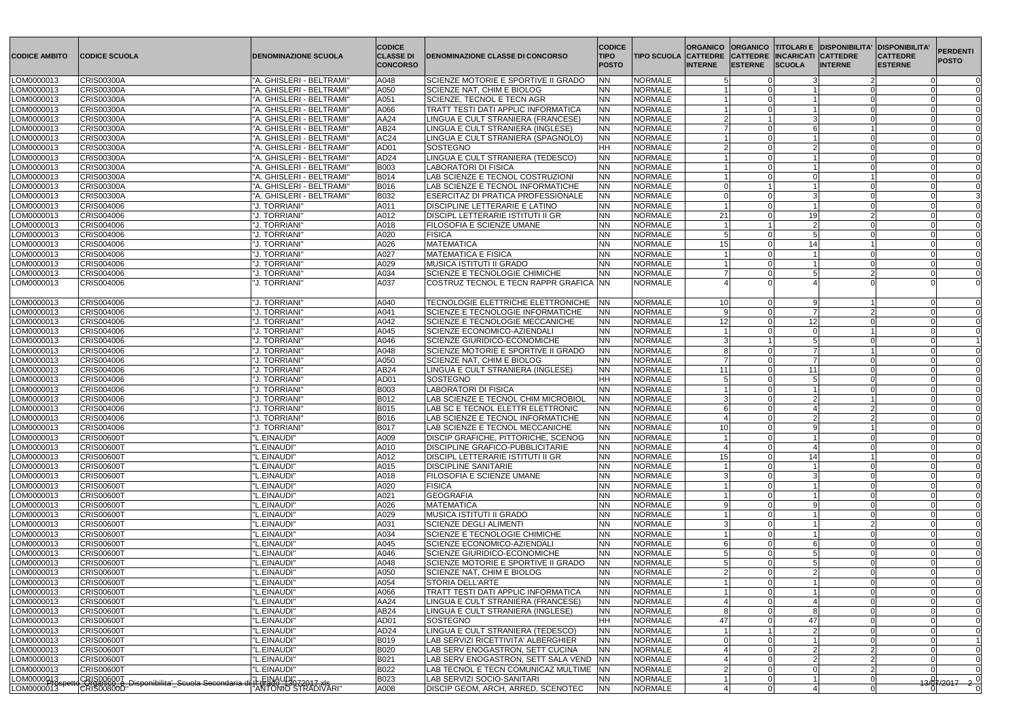| CODICE AMBITO            | <b>CODICE SCUOLA</b>                                                        | <b>DENOMINAZIONE SCUOLA</b>                             | <b>CODICE</b><br><b>CLASSE DI</b><br><b>CONCORSO</b> | <b>DENOMINAZIONE CLASSE DI CONCORSO</b>                         | <b>CODICE</b><br><b>TIPO</b><br><b>POSTO</b> | <b>ORGANICO</b><br><b>TIPO SCUOLA CATTEDRE</b><br><b>INTERNE</b> | CATTEDRE INCARICATI CATTEDRE<br><b>IESTERNE</b> | <b>SCUOLA</b>   | <b>ORGANICO TITOLARI E DISPONIBILITA'</b><br><b>INTERNE</b> | <b>IDISPONIBILITA'</b><br><b>CATTEDRE</b><br><b>IESTERNE</b> | <b>PERDENTI</b><br><b>POSTO</b> |
|--------------------------|-----------------------------------------------------------------------------|---------------------------------------------------------|------------------------------------------------------|-----------------------------------------------------------------|----------------------------------------------|------------------------------------------------------------------|-------------------------------------------------|-----------------|-------------------------------------------------------------|--------------------------------------------------------------|---------------------------------|
| LOM0000013               | <b>CRIS00300A</b>                                                           | "A. GHISLERI - BELTRAMI"                                | A048                                                 | SCIENZE MOTORIE E SPORTIVE II GRADO                             | <b>NN</b>                                    | <b>NORMALE</b>                                                   |                                                 |                 |                                                             |                                                              | $\Omega$                        |
| LOM0000013               | <b>CRIS00300A</b>                                                           | "A. GHISLERI - BELTRAMI"                                | A050                                                 | SCIENZE NAT, CHIM E BIOLOG                                      | <b>NN</b>                                    | <b>NORMALE</b>                                                   |                                                 |                 |                                                             |                                                              |                                 |
| LOM0000013               | <b>CRIS00300A</b>                                                           | "A. GHISLERI - BELTRAMI"                                | A051                                                 | SCIENZE, TECNOL E TECN AGR                                      | <b>NN</b>                                    | <b>NORMALE</b>                                                   |                                                 |                 |                                                             |                                                              |                                 |
| LOM0000013               | <b>CRIS00300A</b>                                                           | "A. GHISLERI - BELTRAMI"                                | A066                                                 | <b>TRATT TESTI DATI APPLIC INFORMATICA</b>                      | <b>NN</b>                                    | <b>NORMALE</b>                                                   |                                                 |                 |                                                             |                                                              |                                 |
| LOM0000013               | <b>CRIS00300A</b>                                                           | "A. GHISLERI - BELTRAMI"                                | AA24                                                 | LINGUA E CULT STRANIERA (FRANCESE)                              | <b>NN</b>                                    | <b>NORMALE</b>                                                   |                                                 |                 |                                                             |                                                              |                                 |
| LOM0000013               | <b>CRIS00300A</b>                                                           | "A. GHISLERI - BELTRAMI"                                | AB24                                                 | LINGUA E CULT STRANIERA (INGLESE)                               | <b>NN</b>                                    | <b>NORMALE</b>                                                   |                                                 |                 |                                                             |                                                              |                                 |
| LOM0000013               | <b>CRIS00300A</b>                                                           | "A. GHISLERI - BELTRAMI"                                | AC <sub>24</sub>                                     | LINGUA E CULT STRANIERA (SPAGNOLO)                              | <b>NN</b>                                    | <b>NORMALE</b>                                                   |                                                 |                 |                                                             |                                                              |                                 |
| LOM0000013               | <b>CRIS00300A</b>                                                           | "A. GHISLERI - BELTRAMI'                                | AD01                                                 | SOSTEGNO                                                        | <b>HH</b>                                    | <b>NORMALE</b>                                                   |                                                 |                 |                                                             |                                                              |                                 |
| LOM0000013               | <b>CRIS00300A</b>                                                           | "A. GHISLERI - BELTRAMI"                                | AD <sub>24</sub>                                     | LINGUA E CULT STRANIERA (TEDESCO)                               | NN                                           | <b>NORMALE</b>                                                   |                                                 |                 |                                                             |                                                              |                                 |
| LOM0000013               | <b>CRIS00300A</b><br><b>CRIS00300A</b>                                      | "A. GHISLERI - BELTRAMI"<br>"A. GHISLERI - BELTRAMI"    | B003<br><b>B014</b>                                  | <b>LABORATORI DI FISICA</b><br>LAB SCIENZE E TECNOL COSTRUZIONI | <b>NN</b><br><b>NN</b>                       | <b>NORMALE</b><br>NORMALE                                        |                                                 |                 |                                                             |                                                              | $\Omega$                        |
| LOM0000013<br>LOM0000013 | <b>CRIS00300A</b>                                                           | "A. GHISLERI - BELTRAMI"                                | <b>B016</b>                                          | <b>LAB SCIENZE E TECNOL INFORMATICHE</b>                        | <b>NN</b>                                    | NORMALE                                                          |                                                 |                 |                                                             |                                                              |                                 |
| LOM0000013               | <b>CRIS00300A</b>                                                           | "A. GHISLERI - BELTRAMI"                                | <b>B032</b>                                          | <b>ESERCITAZ DI PRATICA PROFESSIONALE</b>                       | <b>NN</b>                                    | <b>NORMALE</b>                                                   |                                                 |                 |                                                             |                                                              |                                 |
| LOM0000013               | CRIS004006                                                                  | "J. TORRIANI"                                           | A011                                                 | <b>DISCIPLINE LETTERARIE E LATINO</b>                           | <b>NN</b>                                    | <b>NORMALE</b>                                                   |                                                 |                 |                                                             |                                                              | $\Omega$                        |
| LOM0000013               | CRIS004006                                                                  | "J. TORRIANI"                                           | A012                                                 | <b>DISCIPL LETTERARIE ISTITUTI II GR</b>                        | <b>NN</b>                                    | <b>NORMALE</b><br>21                                             |                                                 | 19 <sup>1</sup> |                                                             |                                                              |                                 |
| LOM0000013               | CRIS004006                                                                  | "J. TORRIANI"                                           | A018                                                 | <b>FILOSOFIA E SCIENZE UMANE</b>                                | <b>NN</b>                                    | <b>NORMALE</b>                                                   |                                                 | $\overline{2}$  |                                                             |                                                              |                                 |
| LOM0000013               | CRIS004006                                                                  | "J. TORRIANI"                                           | A020                                                 | <b>FISICA</b>                                                   | <b>NN</b>                                    | <b>NORMALE</b>                                                   |                                                 | $5\overline{5}$ |                                                             |                                                              |                                 |
| LOM0000013               | CRIS004006                                                                  | "J. TORRIANI"                                           | A026                                                 | <b>MATEMATICA</b>                                               | <b>NN</b>                                    | <b>NORMALE</b><br>15                                             |                                                 | 14              |                                                             |                                                              |                                 |
| LOM0000013               | CRIS004006                                                                  | "J. TORRIANI"                                           | A027                                                 | MATEMATICA E FISICA                                             | <b>NN</b>                                    | <b>NORMALE</b>                                                   |                                                 |                 |                                                             |                                                              |                                 |
| LOM0000013               | CRIS004006                                                                  | "J. TORRIANI"                                           | A029                                                 | <b>MUSICA ISTITUTI II GRADO</b>                                 | <b>NN</b>                                    | <b>NORMALE</b>                                                   |                                                 |                 |                                                             |                                                              |                                 |
| LOM0000013               | CRIS004006                                                                  | "J. TORRIANI"                                           | A034                                                 | <b>ISCIENZE E TECNOLOGIE CHIMICHE</b>                           | <b>NN</b>                                    | <b>NORMALE</b>                                                   |                                                 | 5               |                                                             |                                                              |                                 |
| LOM0000013               | CRIS004006                                                                  | "J. TORRIANI"                                           | A037                                                 | COSTRUZ TECNOL E TECN RAPPR GRAFICA  NN                         |                                              | <b>NORMALE</b>                                                   |                                                 |                 |                                                             |                                                              |                                 |
|                          |                                                                             |                                                         |                                                      |                                                                 |                                              |                                                                  |                                                 |                 |                                                             |                                                              |                                 |
| LOM0000013               | CRIS004006                                                                  | "J. TORRIANI"                                           | A040                                                 | TECNOLOGIE ELETTRICHE ELETTRONICHE   NN                         |                                              | <b>NORMALE</b><br>10 <sup>1</sup>                                |                                                 | q               |                                                             |                                                              |                                 |
| LOM0000013               | CRIS004006                                                                  | "J. TORRIANI"                                           | A041                                                 | SCIENZE E TECNOLOGIE INFORMATICHE                               | NN                                           | <b>NORMALE</b>                                                   |                                                 |                 |                                                             |                                                              |                                 |
| LOM0000013               | CRIS004006                                                                  | "J. TORRIANI"                                           | A042                                                 | SCIENZE E TECNOLOGIE MECCANICHE                                 | <b>NN</b>                                    | <b>NORMALE</b><br>12                                             |                                                 | 12 <sup>1</sup> |                                                             |                                                              |                                 |
| LOM0000013               | CRIS004006                                                                  | "J. TORRIANI"                                           | A045                                                 | SCIENZE ECONOMICO-AZIENDALI                                     | NN.                                          | <b>NORMALE</b>                                                   |                                                 |                 |                                                             |                                                              |                                 |
| LOM0000013               | CRIS004006                                                                  | "J. TORRIANI"                                           | A046                                                 | SCIENZE GIURIDICO-ECONOMICHE                                    | <b>NN</b>                                    | <b>NORMALE</b>                                                   |                                                 |                 |                                                             |                                                              |                                 |
| LOM0000013               | CRIS004006                                                                  | "J. TORRIANI"                                           | A048                                                 | SCIENZE MOTORIE E SPORTIVE II GRADO                             | <b>NN</b>                                    | <b>NORMALE</b>                                                   |                                                 |                 |                                                             |                                                              |                                 |
| LOM0000013               | CRIS004006                                                                  | "J. TORRIANI"                                           | A050                                                 | SCIENZE NAT, CHIM E BIOLOG                                      | <b>NN</b>                                    | NORMALE                                                          |                                                 |                 |                                                             |                                                              |                                 |
| LOM0000013               | CRIS004006                                                                  | "J. TORRIANI"                                           | AB24                                                 | LINGUA E CULT STRANIERA (INGLESE)                               | <b>NN</b>                                    | <b>NORMALE</b><br>11                                             |                                                 | 11              |                                                             |                                                              |                                 |
| LOM0000013               | CRIS004006                                                                  | "J. TORRIANI"                                           | AD01                                                 | SOSTEGNO                                                        | HH                                           | <b>NORMALE</b>                                                   |                                                 |                 |                                                             |                                                              |                                 |
| LOM0000013               | CRIS004006                                                                  | "J. TORRIANI"                                           | B003                                                 | <b>LABORATORI DI FISICA</b>                                     | <b>NN</b>                                    | <b>NORMALE</b>                                                   |                                                 |                 |                                                             |                                                              |                                 |
| LOM0000013               | CRIS004006                                                                  | "J. TORRIANI"                                           | B012                                                 | LAB SCIENZE E TECNOL CHIM MICROBIOL                             | <b>NN</b>                                    | <b>NORMALE</b>                                                   |                                                 | $\mathcal{P}$   |                                                             |                                                              |                                 |
| LOM0000013               | CRIS004006                                                                  | "J. TORRIANI"                                           | B015                                                 | LAB SC E TECNOL ELETTR ELETTRONIC                               | <b>NN</b>                                    | <b>NORMALE</b>                                                   |                                                 |                 |                                                             |                                                              |                                 |
| LOM0000013               | CRIS004006                                                                  | "J. TORRIANI"                                           | <b>B016</b>                                          | LAB SCIENZE E TECNOL INFORMATICHE                               | <b>NN</b>                                    | NORMALE                                                          | $\Omega$                                        | $\Omega$        |                                                             |                                                              |                                 |
| LOM0000013               | CRIS004006                                                                  | "J. TORRIANI"                                           | B017                                                 | <b>LAB SCIENZE E TECNOL MECCANICHE</b>                          | <b>NN</b>                                    | <b>NORMALE</b><br>10 <sup>1</sup>                                |                                                 |                 |                                                             |                                                              |                                 |
| LOM0000013               | <b>CRIS00600T</b>                                                           | "L.EINAUDI"                                             | A009                                                 | <b>IDISCIP GRAFICHE, PITTORICHE, SCENOG</b>                     | <b>NN</b>                                    | NORMALE                                                          |                                                 |                 |                                                             |                                                              |                                 |
| LOM0000013               | <b>CRIS00600T</b>                                                           | "L.EINAUDI"                                             | A010                                                 | <b>DISCIPLINE GRAFICO-PUBBLICITARIE</b>                         | <b>NN</b>                                    | <b>NORMALE</b>                                                   |                                                 |                 |                                                             |                                                              |                                 |
| LOM0000013               | <b>CRIS00600T</b>                                                           | "L.EINAUDI"                                             | A012                                                 | <b>DISCIPL LETTERARIE ISTITUTI II GR</b>                        | <b>NN</b>                                    | <b>NORMALE</b><br>15                                             |                                                 | 14              |                                                             |                                                              |                                 |
| LOM0000013               | CRIS00600T                                                                  | "L.EINAUDI"                                             | A015                                                 | <b>DISCIPLINE SANITARIE</b>                                     | <b>NN</b>                                    | <b>NORMALE</b>                                                   |                                                 |                 |                                                             |                                                              |                                 |
| LOM0000013               | <b>CRIS00600T</b>                                                           | "L.EINAUDI"                                             | A018                                                 | <b>FILOSOFIA E SCIENZE UMANE</b>                                | <b>NN</b>                                    | <b>NORMALE</b>                                                   |                                                 |                 |                                                             |                                                              |                                 |
| LOM0000013               | <b>CRIS00600T</b><br><b>CRIS00600T</b>                                      | "L.EINAUDI"<br>"L.EINAUDI"                              | A020<br>A021                                         | <b>FISICA</b><br><b>GEOGRAFIA</b>                               | NN                                           | <b>NORMALE</b><br><b>NORMALE</b>                                 |                                                 |                 |                                                             |                                                              |                                 |
| LOM0000013<br>LOM0000013 | <b>CRIS00600T</b>                                                           | "L.EINAUDI"                                             | A026                                                 | <b>MATEMATICA</b>                                               | <b>NN</b><br>NN                              | <b>NORMALE</b>                                                   |                                                 |                 |                                                             |                                                              |                                 |
| LOM0000013               | <b>CRIS00600T</b>                                                           | "L.EINAUDI"                                             | A029                                                 | <b>MUSICA ISTITUTI II GRADO</b>                                 | <b>NN</b>                                    | <b>NORMALE</b>                                                   |                                                 |                 |                                                             |                                                              |                                 |
| LOM0000013               | <b>CRIS00600T</b>                                                           | "L.EINAUDI"                                             | A031                                                 | <b>SCIENZE DEGLI ALIMENTI</b>                                   | <b>NN</b>                                    | <b>NORMALE</b>                                                   |                                                 |                 |                                                             |                                                              |                                 |
| LOM0000013               | <b>CRIS00600T</b>                                                           | "L.EINAUDI"                                             | A034                                                 | SCIENZE E TECNOLOGIE CHIMICHE                                   | NN                                           | <b>NORMALE</b>                                                   |                                                 |                 |                                                             |                                                              |                                 |
| LOM0000013               | <b>CRIS00600T</b>                                                           | "L.EINAUDI"                                             | A045                                                 | SCIENZE ECONOMICO-AZIENDALI                                     | <b>NN</b>                                    | <b>NORMALE</b>                                                   |                                                 |                 |                                                             |                                                              |                                 |
| LOM0000013               | <b>CRIS00600T</b>                                                           | "L.EINAUDI"                                             | A046                                                 | <b>SCIENZE GIURIDICO-ECONOMICHE</b>                             | <b>NN</b>                                    | <b>NORMALE</b>                                                   |                                                 |                 |                                                             |                                                              |                                 |
| LOM0000013               | <b>CRIS00600T</b>                                                           | "L.EINAUDI"                                             | A048                                                 | SCIENZE MOTORIE E SPORTIVE II GRADO                             | <b>NN</b>                                    | <b>NORMALE</b>                                                   |                                                 |                 |                                                             |                                                              |                                 |
| LOM0000013               | <b>CRIS00600T</b>                                                           | "L.EINAUDI"                                             | A050                                                 | SCIENZE NAT, CHIM E BIOLOG                                      | <b>NN</b>                                    | <b>NORMALE</b>                                                   |                                                 |                 |                                                             |                                                              |                                 |
| LOM0000013               | <b>CRIS00600T</b>                                                           | "L.EINAUDI"                                             | A054                                                 | <b>STORIA DELL'ARTE</b>                                         | <b>NN</b>                                    | NORMALE                                                          |                                                 |                 |                                                             |                                                              |                                 |
| LOM0000013               | <b>CRIS00600T</b>                                                           | "L.EINAUDI"                                             | A066                                                 | <b>TRATT TESTI DATI APPLIC INFORMATICA</b>                      | NN                                           | <b>NORMALE</b>                                                   |                                                 |                 |                                                             |                                                              |                                 |
| LOM0000013               | <b>CRIS00600T</b>                                                           | "L.EINAUDI"                                             | AA24                                                 | LINGUA E CULT STRANIERA (FRANCESE)                              | <b>NN</b>                                    | <b>NORMALE</b>                                                   |                                                 |                 |                                                             |                                                              |                                 |
| LOM0000013               | <b>CRIS00600T</b>                                                           | "L.EINAUDI"                                             | AB24                                                 | LINGUA E CULT STRANIERA (INGLESE)                               | <b>NN</b>                                    | <b>NORMALE</b>                                                   |                                                 |                 |                                                             |                                                              |                                 |
| LOM0000013               | <b>CRIS00600T</b>                                                           | "L.EINAUDI"                                             | AD01                                                 | SOSTEGNO                                                        | HH                                           | <b>NORMALE</b><br>47                                             |                                                 | 47              |                                                             |                                                              |                                 |
| LOM0000013               | <b>CRIS00600T</b>                                                           | "L.EINAUDI"                                             | AD <sub>24</sub>                                     | LINGUA E CULT STRANIERA (TEDESCO)                               | <b>NN</b>                                    | <b>NORMALE</b>                                                   |                                                 |                 |                                                             |                                                              |                                 |
| LOM0000013               | <b>CRIS00600T</b>                                                           | "L.EINAUDI"                                             | B019                                                 | LAB SERVIZI RICETTIVITA' ALBERGHIER                             | <b>NN</b>                                    | <b>NORMALE</b>                                                   |                                                 |                 |                                                             |                                                              | $\mathbf{1}$                    |
| LOM0000013               | <b>CRIS00600T</b>                                                           | "L.EINAUDI"                                             | <b>B020</b>                                          | LAB SERV ENOGASTRON, SETT CUCINA                                | <b>NN</b>                                    | <b>NORMALE</b>                                                   |                                                 | っ               |                                                             |                                                              |                                 |
| LOM0000013               | <b>CRIS00600T</b>                                                           | "L.EINAUDI"                                             | B021                                                 | LAB SERV ENOGASTRON, SETT SALA VEND NN                          |                                              | <b>NORMALE</b>                                                   |                                                 | $\mathcal{P}$   |                                                             |                                                              |                                 |
| LOM0000013               | CRIS00600T                                                                  | "L.EINAUDI"                                             | B022                                                 | LAB TECNOL E TECN COMUNICAZ MULTIME NN                          |                                              | <b>NORMALE</b>                                                   |                                                 |                 |                                                             |                                                              |                                 |
| LOM00000413              | CRIS00600T<br> CHGanico_e_Disponibilita'_Scuola Secondaria d<br> CRIS00800D | <u>I'L EINAUDI", 22017. XIS</u><br>"ANTONIO STRADIVARI" | <b>B023</b>                                          | LAB SERVIZI SOCIO-SANITARI                                      | NN.                                          | NORMALE                                                          |                                                 |                 |                                                             |                                                              | $13/87/2017$ $20$               |
| LOM0000013               |                                                                             |                                                         | A008                                                 | DISCIP GEOM, ARCH, ARRED, SCENOTEC                              | <b>NN</b>                                    | <b>NORMALE</b>                                                   | ∩                                               |                 |                                                             |                                                              |                                 |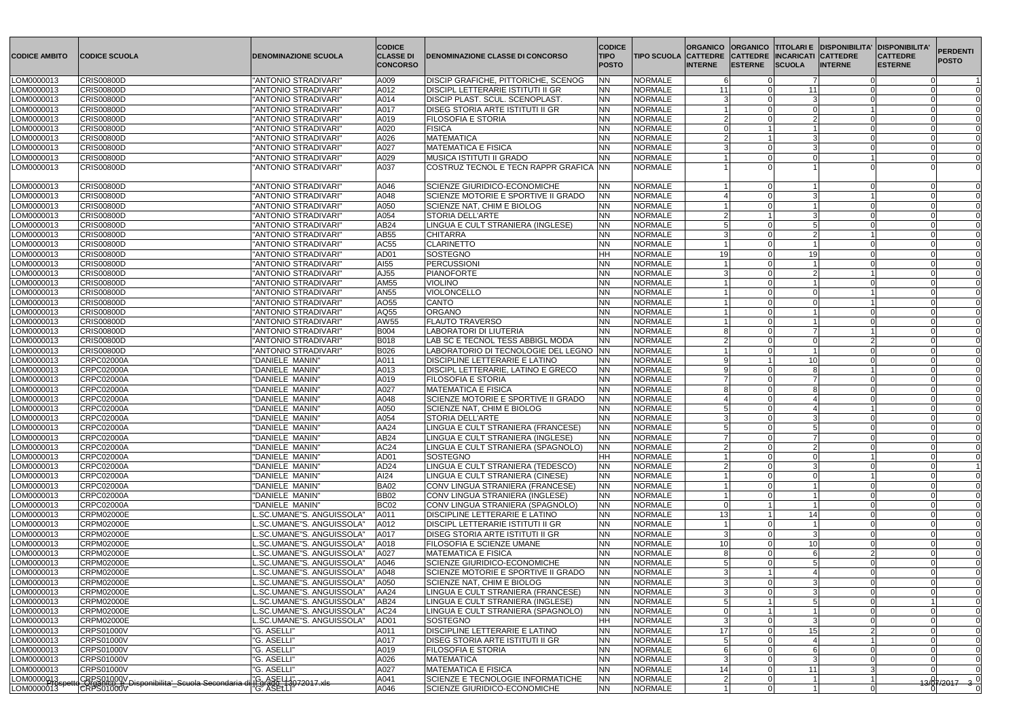| <b>ICODICE AMBITO</b>    | <b>CODICE SCUOLA</b>                                                             | <b>DENOMINAZIONE SCUOLA</b>                                      | <b>CODICE</b><br><b>CLASSE DI</b><br><b>CONCORSO</b> | <b>IDENOMINAZIONE CLASSE DI CONCORSO</b>                           | <b>CODICE</b><br><b>TIPO</b><br><b>POSTO</b> | <b>TIPO SCUOLA CATTEDRE</b>      | <b>ORGANICO</b><br><b>INTERNE</b> | <b>IESTERNE</b> | <b>ORGANICO TITOLARI E DISPONIBILITA'</b><br><b>CATTEDRE INCARICATI CATTEDRE</b><br><b>SCUOLA</b><br><b>INTERNE</b> | <b>DISPONIBILITA'</b><br><b>CATTEDRE</b><br><b>ESTERNE</b> | <b>PERDENTI</b><br><b>POSTO</b> |
|--------------------------|----------------------------------------------------------------------------------|------------------------------------------------------------------|------------------------------------------------------|--------------------------------------------------------------------|----------------------------------------------|----------------------------------|-----------------------------------|-----------------|---------------------------------------------------------------------------------------------------------------------|------------------------------------------------------------|---------------------------------|
| LOM0000013               | <b>CRIS00800D</b>                                                                | "ANTONIO STRADIVARI"                                             | A009                                                 | <b>DISCIP GRAFICHE, PITTORICHE, SCENOG</b>                         | <b>NN</b>                                    | <b>NORMALE</b>                   |                                   |                 |                                                                                                                     |                                                            |                                 |
| LOM0000013               | <b>CRIS00800D</b>                                                                | "ANTONIO STRADIVARI"                                             | A012                                                 | <b>DISCIPL LETTERARIE ISTITUTI II GR</b>                           | <b>NN</b>                                    | <b>NORMALE</b>                   | 11                                |                 | 11                                                                                                                  |                                                            |                                 |
| LOM0000013               | <b>CRIS00800D</b>                                                                | "ANTONIO STRADIVARI"                                             | A014                                                 | <b>DISCIP PLAST. SCUL. SCENOPLAST.</b>                             | <b>NN</b>                                    | <b>NORMALE</b>                   |                                   |                 |                                                                                                                     |                                                            |                                 |
| LOM0000013               | <b>CRIS00800D</b>                                                                | "ANTONIO STRADIVARI"                                             | A017                                                 | <b>DISEG STORIA ARTE ISTITUTI II GR</b>                            | <b>NN</b>                                    | <b>NORMALE</b>                   |                                   |                 |                                                                                                                     |                                                            |                                 |
| LOM0000013               | <b>CRIS00800D</b>                                                                | "ANTONIO STRADIVARI"                                             | A019                                                 | <b>FILOSOFIA E STORIA</b>                                          | <b>NN</b>                                    | <b>NORMALE</b>                   |                                   |                 |                                                                                                                     |                                                            |                                 |
| LOM0000013               | <b>CRIS00800D</b>                                                                | "ANTONIO STRADIVARI"                                             | A020                                                 | <b>FISICA</b>                                                      | <b>NN</b>                                    | <b>NORMALE</b>                   |                                   |                 |                                                                                                                     |                                                            |                                 |
| LOM0000013               | <b>CRIS00800D</b>                                                                | "ANTONIO STRADIVARI"                                             | A026                                                 | <b>MATEMATICA</b>                                                  | <b>NN</b>                                    | <b>NORMALE</b>                   |                                   |                 |                                                                                                                     |                                                            |                                 |
| LOM0000013               | <b>CRIS00800D</b>                                                                | "ANTONIO STRADIVARI"                                             | A027                                                 | <b>MATEMATICA E FISICA</b>                                         | <b>NN</b><br><b>NN</b>                       | <b>NORMALE</b>                   |                                   |                 |                                                                                                                     |                                                            |                                 |
| LOM0000013<br>LOM0000013 | <b>CRIS00800D</b><br><b>CRIS00800D</b>                                           | "ANTONIO STRADIVARI"<br>"ANTONIO STRADIVARI"                     | A029<br>A037                                         | MUSICA ISTITUTI II GRADO<br>COSTRUZ TECNOL E TECN RAPPR GRAFICA NN |                                              | <b>NORMALE</b><br><b>NORMALE</b> |                                   |                 |                                                                                                                     |                                                            |                                 |
|                          |                                                                                  |                                                                  |                                                      |                                                                    |                                              |                                  |                                   |                 |                                                                                                                     |                                                            |                                 |
| LOM0000013               | <b>CRIS00800D</b>                                                                | "ANTONIO STRADIVARI"                                             | A046                                                 | <b>SCIENZE GIURIDICO-ECONOMICHE</b>                                | <b>NN</b>                                    | <b>NORMALE</b>                   |                                   |                 |                                                                                                                     |                                                            |                                 |
| LOM0000013               | <b>CRIS00800D</b>                                                                | "ANTONIO STRADIVARI"                                             | A048                                                 | SCIENZE MOTORIE E SPORTIVE II GRADO                                | <b>NN</b>                                    | <b>NORMALE</b>                   |                                   |                 |                                                                                                                     |                                                            |                                 |
| LOM0000013               | <b>CRIS00800D</b>                                                                | "ANTONIO STRADIVARI"                                             | A050                                                 | SCIENZE NAT, CHIM E BIOLOG                                         | <b>NN</b>                                    | <b>NORMALE</b>                   |                                   |                 |                                                                                                                     |                                                            |                                 |
| LOM0000013               | <b>CRIS00800D</b>                                                                | "ANTONIO STRADIVARI"                                             | A054                                                 | STORIA DELL'ARTE                                                   | <b>NN</b>                                    | <b>NORMALE</b>                   |                                   |                 |                                                                                                                     |                                                            |                                 |
| LOM0000013               | <b>CRIS00800D</b>                                                                | "ANTONIO STRADIVARI"                                             | AB24                                                 | LINGUA E CULT STRANIERA (INGLESE)                                  | <b>NN</b>                                    | <b>NORMALE</b>                   |                                   |                 |                                                                                                                     |                                                            |                                 |
| LOM0000013               | <b>CRIS00800D</b>                                                                | "ANTONIO STRADIVARI"                                             | AB55                                                 | <b>CHITARRA</b>                                                    | <b>NN</b>                                    | <b>NORMALE</b>                   |                                   |                 |                                                                                                                     |                                                            |                                 |
| LOM0000013               | <b>CRIS00800D</b>                                                                | "ANTONIO STRADIVARI"                                             | AC55                                                 | <b>CLARINETTO</b><br>SOSTEGNO                                      | <b>NN</b>                                    | <b>NORMALE</b><br><b>NORMALE</b> | 19                                |                 |                                                                                                                     |                                                            |                                 |
| LOM0000013<br>LOM0000013 | <b>CRIS00800D</b><br><b>CRIS00800D</b>                                           | "ANTONIO STRADIVARI"<br>"ANTONIO STRADIVARI"                     | AD <sub>01</sub><br>AI55                             | PERCUSSIONI                                                        | HH<br><b>NN</b>                              | NORMALE                          |                                   |                 | 19                                                                                                                  |                                                            |                                 |
| LOM0000013               | <b>CRIS00800D</b>                                                                | "ANTONIO STRADIVARI"                                             | AJ55                                                 | <b>PIANOFORTE</b>                                                  | <b>NN</b>                                    | NORMALE                          |                                   |                 |                                                                                                                     |                                                            |                                 |
| LOM0000013               | <b>CRIS00800D</b>                                                                | "ANTONIO STRADIVARI"                                             | AM55                                                 | <b>VIOLINO</b>                                                     | <b>NN</b>                                    | <b>NORMALE</b>                   |                                   |                 |                                                                                                                     |                                                            |                                 |
| LOM0000013               | <b>CRIS00800D</b>                                                                | "ANTONIO STRADIVARI"                                             | AN55                                                 | <b>VIOLONCELLO</b>                                                 | <b>NN</b>                                    | <b>NORMALE</b>                   |                                   |                 |                                                                                                                     |                                                            |                                 |
| LOM0000013               | <b>CRIS00800D</b>                                                                | "ANTONIO STRADIVARI"                                             | AO55                                                 | <b>CANTO</b>                                                       | <b>NN</b>                                    | <b>NORMALE</b>                   |                                   |                 |                                                                                                                     |                                                            |                                 |
| LOM0000013               | <b>CRIS00800D</b>                                                                | "ANTONIO STRADIVARI"                                             | AQ55                                                 | <b>ORGANO</b>                                                      | <b>NN</b>                                    | <b>NORMALE</b>                   |                                   |                 |                                                                                                                     |                                                            |                                 |
| LOM0000013               | <b>CRIS00800D</b>                                                                | "ANTONIO STRADIVARI"                                             | AW55                                                 | <b>FLAUTO TRAVERSO</b>                                             | <b>NN</b>                                    | <b>NORMALE</b>                   |                                   |                 |                                                                                                                     |                                                            |                                 |
| LOM0000013               | <b>CRIS00800D</b>                                                                | "ANTONIO STRADIVARI"                                             | <b>B004</b>                                          | LABORATORI DI LIUTERIA                                             | <b>NN</b>                                    | <b>NORMALE</b>                   |                                   |                 |                                                                                                                     |                                                            |                                 |
| LOM0000013               | <b>CRIS00800D</b>                                                                | "ANTONIO STRADIVARI"                                             | <b>B018</b>                                          | LAB SC E TECNOL TESS ABBIGL MODA                                   | <b>NN</b>                                    | <b>NORMALE</b>                   |                                   |                 |                                                                                                                     |                                                            |                                 |
| LOM0000013               | <b>CRIS00800D</b>                                                                | "ANTONIO STRADIVARI"                                             | <b>B026</b>                                          | LABORATORIO DI TECNOLOGIE DEL LEGNO NN                             |                                              | <b>NORMALE</b>                   |                                   |                 |                                                                                                                     |                                                            |                                 |
| LOM0000013               | <b>CRPC02000A</b>                                                                | "DANIELE MANIN"                                                  | A011                                                 | <b>DISCIPLINE LETTERARIE E LATINO</b>                              | <b>NN</b>                                    | <b>NORMALE</b>                   |                                   |                 | -10                                                                                                                 |                                                            |                                 |
| LOM0000013               | <b>CRPC02000A</b>                                                                | "DANIELE MANIN"                                                  | A013                                                 | DISCIPL LETTERARIE, LATINO E GRECO                                 | <b>NN</b>                                    | <b>NORMALE</b>                   |                                   |                 |                                                                                                                     |                                                            |                                 |
| LOM0000013               | <b>CRPC02000A</b>                                                                | "DANIELE MANIN"                                                  | A019                                                 | <b>FILOSOFIA E STORIA</b>                                          | <b>NN</b>                                    | <b>NORMALE</b>                   |                                   |                 |                                                                                                                     |                                                            |                                 |
| LOM0000013               | CRPC02000A                                                                       | "DANIELE MANIN"                                                  | A027                                                 | MATEMATICA E FISICA                                                | <b>NN</b>                                    | <b>NORMALE</b>                   |                                   |                 | $\cap$                                                                                                              |                                                            |                                 |
| LOM0000013               | CRPC02000A                                                                       | "DANIELE MANIN"                                                  | A048                                                 | SCIENZE MOTORIE E SPORTIVE II GRADO                                | <b>NN</b>                                    | <b>NORMALE</b>                   |                                   |                 |                                                                                                                     |                                                            |                                 |
| LOM0000013               | CRPC02000A                                                                       | "DANIELE MANIN"                                                  | A050                                                 | <b>SCIENZE NAT, CHIM E BIOLOG</b>                                  | <b>NN</b>                                    | <b>NORMALE</b>                   |                                   |                 |                                                                                                                     |                                                            |                                 |
| LOM0000013               | <b>CRPC02000A</b>                                                                | "DANIELE MANIN"                                                  | A054                                                 | STORIA DELL'ARTE                                                   | N                                            | <b>NORMALE</b>                   |                                   |                 |                                                                                                                     |                                                            |                                 |
| LOM0000013               | <b>CRPC02000A</b>                                                                | "DANIELE MANIN"                                                  | AA24                                                 | LINGUA E CULT STRANIERA (FRANCESE)                                 | <b>NN</b>                                    | <b>NORMALE</b>                   |                                   |                 |                                                                                                                     |                                                            | $\Omega$                        |
| LOM0000013               | <b>CRPC02000A</b>                                                                | "DANIELE MANIN"                                                  | AB24                                                 | LINGUA E CULT STRANIERA (INGLESE)                                  | <b>NN</b>                                    | <b>NORMALE</b>                   |                                   |                 |                                                                                                                     |                                                            |                                 |
| LOM0000013               | <b>CRPC02000A</b>                                                                | "DANIELE MANIN"                                                  | AC24                                                 | LINGUA E CULT STRANIERA (SPAGNOLO)                                 | <b>NN</b>                                    | <b>NORMALE</b>                   |                                   |                 |                                                                                                                     |                                                            |                                 |
| LOM0000013<br>LOM0000013 | <b>CRPC02000A</b><br><b>CRPC02000A</b>                                           | "DANIELE MANIN"<br>"DANIELE MANIN"                               | AD01<br>AD <sub>24</sub>                             | SOSTEGNO<br>LINGUA E CULT STRANIERA (TEDESCO)                      | <b>HH</b><br><b>NN</b>                       | <b>NORMALE</b><br><b>NORMALE</b> |                                   |                 |                                                                                                                     |                                                            |                                 |
| LOM0000013               | <b>CRPC02000A</b>                                                                | "DANIELE MANIN"                                                  | AI24                                                 | LINGUA E CULT STRANIERA (CINESE)                                   | <b>NN</b>                                    | <b>NORMALE</b>                   |                                   |                 |                                                                                                                     |                                                            |                                 |
| LOM0000013               | <b>CRPC02000A</b>                                                                | "DANIELE MANIN"                                                  | <b>BA02</b>                                          | CONV LINGUA STRANIERA (FRANCESE)                                   | <b>NN</b>                                    | <b>NORMALE</b>                   |                                   |                 |                                                                                                                     |                                                            |                                 |
| LOM0000013               | <b>CRPC02000A</b>                                                                | "DANIELE MANIN"                                                  | <b>BB02</b>                                          | CONV LINGUA STRANIERA (INGLESE)                                    | <b>NN</b>                                    | <b>NORMALE</b>                   |                                   |                 |                                                                                                                     |                                                            |                                 |
| LOM0000013               | CRPC02000A                                                                       | "DANIELE MANIN"                                                  | BC <sub>02</sub>                                     | CONV LINGUA STRANIERA (SPAGNOLO)                                   | <b>NN</b>                                    | <b>NORMALE</b>                   |                                   |                 |                                                                                                                     |                                                            |                                 |
| LOM0000013               | <b>CRPM02000E</b>                                                                | SC.UMANE"S. ANGUISSOLA                                           | A011                                                 | <b>DISCIPLINE LETTERARIE E LATINO</b>                              | <b>NN</b>                                    | <b>NORMALE</b>                   | 13                                |                 | -14                                                                                                                 |                                                            |                                 |
| LOM0000013               | <b>CRPM02000E</b>                                                                | .SC.UMANE"S. ANGUISSOLA'                                         | A012                                                 | <b>DISCIPL LETTERARIE ISTITUTI II GR</b>                           | <b>NN</b>                                    | <b>NORMALE</b>                   |                                   |                 |                                                                                                                     |                                                            |                                 |
| LOM0000013               | <b>CRPM02000E</b>                                                                | "SC.UMANE"S. ANGUISSOLA"                                         | A017                                                 | <b>DISEG STORIA ARTE ISTITUTI II GR</b>                            | <b>NN</b>                                    | <b>NORMALE</b>                   |                                   |                 |                                                                                                                     |                                                            |                                 |
| LOM0000013               | <b>CRPM02000E</b>                                                                | .SC.UMANE"S. ANGUISSOLA'                                         | A018                                                 | FILOSOFIA E SCIENZE UMANE                                          | <b>NN</b>                                    | <b>NORMALE</b>                   | 10 <sup>1</sup>                   |                 | 10                                                                                                                  |                                                            |                                 |
| LOM0000013               | CRPM02000E                                                                       | .SC.UMANE"S. ANGUISSOLA"                                         | A027                                                 | <b>MATEMATICA E FISICA</b>                                         | <b>NN</b>                                    | <b>NORMALE</b>                   |                                   |                 |                                                                                                                     |                                                            |                                 |
| LOM0000013               | <b>CRPM02000E</b>                                                                | "SC.UMANE"S. ANGUISSOLA"                                         | A046                                                 | <b>SCIENZE GIURIDICO-ECONOMICHE</b>                                | <b>NN</b>                                    | <b>NORMALE</b>                   |                                   |                 |                                                                                                                     |                                                            |                                 |
| LOM0000013               | <b>CRPM02000E</b>                                                                | .SC.UMANE"S. ANGUISSOLA"                                         | A048                                                 | SCIENZE MOTORIE E SPORTIVE II GRADO                                | <b>NN</b>                                    | <b>NORMALE</b>                   |                                   |                 |                                                                                                                     |                                                            |                                 |
| LOM0000013               | <b>CRPM02000E</b>                                                                | .SC.UMANE"S. ANGUISSOLA'                                         | A050                                                 | SCIENZE NAT, CHIM E BIOLOG                                         | <b>NN</b>                                    | <b>NORMALE</b>                   |                                   |                 |                                                                                                                     |                                                            |                                 |
| LOM0000013               | <b>CRPM02000E</b>                                                                | SC.UMANE"S. ANGUISSOLA"                                          | AA24                                                 | LINGUA E CULT STRANIERA (FRANCESE)                                 | <b>NN</b>                                    | NORMALE                          |                                   |                 |                                                                                                                     |                                                            |                                 |
| LOM0000013               | <b>CRPM02000E</b>                                                                | SC.UMANE"S. ANGUISSOLA'                                          | AB24                                                 | LINGUA E CULT STRANIERA (INGLESE)                                  | <b>NN</b>                                    | <b>NORMALE</b>                   |                                   |                 |                                                                                                                     |                                                            |                                 |
| LOM0000013               | <b>CRPM02000E</b>                                                                | "SC.UMANE"S. ANGUISSOLA"                                         | AC24                                                 | LINGUA E CULT STRANIERA (SPAGNOLO)                                 | <b>NN</b>                                    | <b>NORMALE</b>                   |                                   |                 |                                                                                                                     |                                                            |                                 |
| LOM0000013               | <b>CRPM02000E</b>                                                                | "SC.UMANE"S. ANGUISSOLA"                                         | AD01                                                 | SOSTEGNO                                                           | <b>HH</b>                                    | <b>NORMALE</b>                   |                                   |                 |                                                                                                                     |                                                            |                                 |
| LOM0000013               | <b>CRPS01000V</b>                                                                | "G. ASELLI"                                                      | A011                                                 | DISCIPLINE LETTERARIE E LATINO                                     | <b>NN</b>                                    | <b>NORMALE</b>                   | 17 <sup>1</sup>                   |                 | 15                                                                                                                  |                                                            |                                 |
| LOM0000013               | <b>CRPS01000V</b>                                                                | "G. ASELLI"                                                      | A017                                                 | <b>DISEG STORIA ARTE ISTITUTI II GR</b>                            | <b>NN</b>                                    | <b>NORMALE</b>                   |                                   |                 |                                                                                                                     |                                                            |                                 |
| LOM0000013               | <b>CRPS01000V</b>                                                                | "G. ASELLI"                                                      | A019                                                 | <b>FILOSOFIA E STORIA</b>                                          | <b>NN</b>                                    | <b>NORMALE</b>                   |                                   |                 |                                                                                                                     |                                                            |                                 |
| LOM0000013<br>LOM0000013 | <b>CRPS01000V</b><br><b>CRPS01000V</b>                                           | "G. ASELLI"<br>"G. ASELLI"                                       | A026<br>A027                                         | <b>MATEMATICA</b><br><b>MATEMATICA E FISICA</b>                    | <b>NN</b><br><b>NN</b>                       | <b>NORMALE</b><br>NORMALE        | 14                                |                 | 11                                                                                                                  |                                                            |                                 |
| LOM00000413              |                                                                                  |                                                                  | A041                                                 | SCIENZE E TECNOLOGIE INFORMATICHE                                  | <b>NN</b>                                    | <b>NORMALE</b>                   |                                   |                 |                                                                                                                     |                                                            |                                 |
| LOM0000013               | CRPS01000V<br>CRPS01000V Disponibilita'_Scuola Secondaria (<br><b>CRPS01000V</b> | "G. ASELLI"<br>"IF9 <del>r306_13</del> 072017.xls<br>"G. ASELLI" | A046                                                 | SCIENZE GIURIDICO-ECONOMICHE                                       | <b>NN</b>                                    | NORMALE                          |                                   |                 |                                                                                                                     |                                                            | $\frac{13}{8}$ /2017 3 0        |
|                          |                                                                                  |                                                                  |                                                      |                                                                    |                                              |                                  |                                   |                 |                                                                                                                     |                                                            |                                 |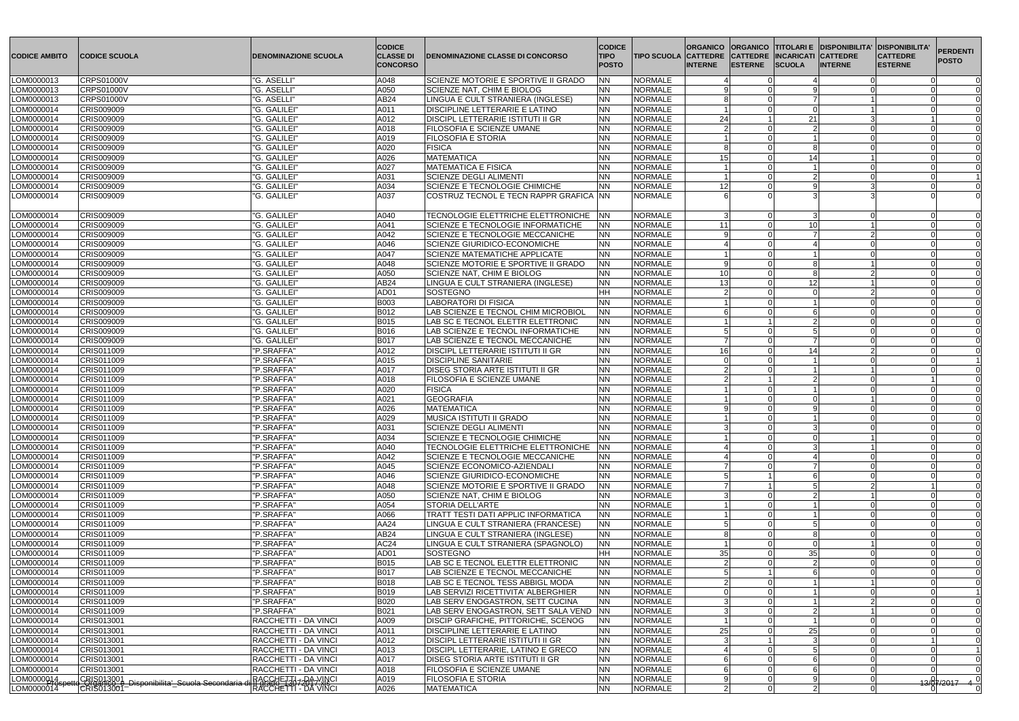| <b>CODICE AMBITO</b>     | <b>CODICE SCUOLA</b>                                                        | <b>DENOMINAZIONE SCUOLA</b>                                                     | <b>CODICE</b><br><b>CLASSE DI</b><br><b>CONCORSO</b> | <b>DENOMINAZIONE CLASSE DI CONCORSO</b>                                           | <b>CODICE</b><br><b>TIPO</b><br><b>POSTO</b> | <b>TIPO SCUOLA CATTEDRE</b>      | <b>ORGANICO</b><br><b>INTERNE</b> | <b>ESTERNE</b> | <b>CATTEDRE INCARICATI CATTEDRE</b><br><b>SCUOLA</b> | ORGANICO  TITOLARI E  DISPONIBILITA'<br><b>INTERNE</b> | <b>DISPONIBILITA'</b><br><b>CATTEDRE</b><br><b>ESTERNE</b> | <b>PERDENTI</b><br><b>POSTO</b> |
|--------------------------|-----------------------------------------------------------------------------|---------------------------------------------------------------------------------|------------------------------------------------------|-----------------------------------------------------------------------------------|----------------------------------------------|----------------------------------|-----------------------------------|----------------|------------------------------------------------------|--------------------------------------------------------|------------------------------------------------------------|---------------------------------|
| LOM0000013               | <b>CRPS01000V</b>                                                           | "G. ASELLI"                                                                     | A048                                                 | SCIENZE MOTORIE E SPORTIVE II GRADO                                               | <b>NN</b>                                    | <b>NORMALE</b>                   |                                   |                |                                                      |                                                        |                                                            |                                 |
| LOM0000013               | <b>CRPS01000V</b>                                                           | "G. ASELLI"                                                                     | A050                                                 | SCIENZE NAT, CHIM E BIOLOG                                                        | <b>NN</b>                                    | <b>NORMALE</b>                   |                                   |                |                                                      |                                                        |                                                            |                                 |
| LOM0000013               | <b>CRPS01000V</b>                                                           | "G. ASELLI"                                                                     | AB24                                                 | LINGUA E CULT STRANIERA (INGLESE)                                                 | <b>NN</b>                                    | <b>NORMALE</b>                   |                                   |                |                                                      |                                                        |                                                            |                                 |
| LOM0000014               | CRIS009009                                                                  | "G. GALILEI"                                                                    | A011                                                 | <b>DISCIPLINE LETTERARIE E LATINO</b>                                             | <b>NN</b>                                    | <b>NORMALE</b>                   |                                   |                |                                                      |                                                        |                                                            |                                 |
| LOM0000014               | CRIS009009                                                                  | "G. GALILEI"                                                                    | A012                                                 | <b>DISCIPL LETTERARIE ISTITUTI II GR</b>                                          | <b>NN</b>                                    | <b>NORMALE</b>                   | 24                                |                | 21                                                   |                                                        |                                                            |                                 |
| LOM0000014               | CRIS009009                                                                  | "G. GALILEI"                                                                    | A018                                                 | <b>FILOSOFIA E SCIENZE UMANE</b>                                                  | <b>NN</b>                                    | <b>NORMALE</b>                   |                                   |                |                                                      |                                                        |                                                            |                                 |
| LOM0000014               | CRIS009009<br><b>CRIS009009</b>                                             | "G. GALILEI"                                                                    | A019                                                 | <b>FILOSOFIA E STORIA</b>                                                         | <b>NN</b>                                    | <b>NORMALE</b>                   |                                   |                |                                                      |                                                        |                                                            |                                 |
| LOM0000014<br>LOM0000014 | <b>CRIS009009</b>                                                           | "G. GALILEI"<br>"G. GALILEI"                                                    | A020<br>A026                                         | <b>FISICA</b><br><b>MATEMATICA</b>                                                | <b>NN</b><br><b>NN</b>                       | <b>NORMALE</b><br><b>NORMALE</b> | 15                                |                | 14                                                   |                                                        |                                                            |                                 |
| LOM0000014               | CRIS009009                                                                  | "G. GALILEI"                                                                    | A027                                                 | <b>MATEMATICA E FISICA</b>                                                        | <b>NN</b>                                    | <b>NORMALE</b>                   |                                   |                |                                                      |                                                        |                                                            |                                 |
| LOM0000014               | CRIS009009                                                                  | "G. GALILEI"                                                                    | A031                                                 | <b>SCIENZE DEGLI ALIMENTI</b>                                                     | <b>NN</b>                                    | <b>NORMALE</b>                   |                                   |                |                                                      |                                                        |                                                            |                                 |
| LOM0000014               | CRIS009009                                                                  | "G. GALILEI"                                                                    | A034                                                 | SCIENZE E TECNOLOGIE CHIMICHE                                                     | <b>NN</b>                                    | <b>NORMALE</b>                   | 12                                |                |                                                      |                                                        |                                                            |                                 |
| LOM0000014               | CRIS009009                                                                  | "G. GALILEI"                                                                    | A037                                                 | ICOSTRUZ TECNOL E TECN RAPPR GRAFICA INN                                          |                                              | <b>NORMALE</b>                   |                                   |                |                                                      |                                                        |                                                            |                                 |
|                          |                                                                             |                                                                                 |                                                      |                                                                                   |                                              |                                  |                                   |                |                                                      |                                                        |                                                            |                                 |
| LOM0000014               | CRIS009009                                                                  | "G. GALILEI"                                                                    | A040                                                 | TECNOLOGIE ELETTRICHE ELETTRONICHE   NN                                           |                                              | <b>NORMALE</b>                   |                                   |                |                                                      |                                                        |                                                            |                                 |
| LOM0000014               | CRIS009009                                                                  | "G. GALILEI"                                                                    | A041                                                 | SCIENZE E TECNOLOGIE INFORMATICHE                                                 | <b>NN</b>                                    | <b>NORMALE</b>                   | 11                                |                | -10                                                  |                                                        |                                                            |                                 |
| LOM0000014               | CRIS009009                                                                  | "G. GALILEI"                                                                    | A042                                                 | <b>SCIENZE E TECNOLOGIE MECCANICHE</b>                                            | <b>NN</b>                                    | <b>NORMALE</b>                   |                                   |                |                                                      |                                                        |                                                            |                                 |
| LOM0000014               | CRIS009009                                                                  | "G. GALILEI"                                                                    | A046                                                 | SCIENZE GIURIDICO-ECONOMICHE                                                      | <b>NN</b>                                    | <b>NORMALE</b>                   |                                   |                |                                                      |                                                        |                                                            |                                 |
| LOM0000014               | CRIS009009                                                                  | "G. GALILEI"                                                                    | A047                                                 | <b>SCIENZE MATEMATICHE APPLICATE</b>                                              | <b>NN</b>                                    | <b>NORMALE</b>                   |                                   |                |                                                      |                                                        |                                                            |                                 |
| LOM0000014               | CRIS009009                                                                  | "G. GALILEI"                                                                    | A048                                                 | SCIENZE MOTORIE E SPORTIVE II GRADO                                               | <b>NN</b>                                    | <b>NORMALE</b>                   | a                                 |                |                                                      |                                                        |                                                            |                                 |
| LOM0000014               | CRIS009009                                                                  | "G. GALILEI'                                                                    | A050                                                 | SCIENZE NAT, CHIM E BIOLOG                                                        | <b>NN</b>                                    | <b>NORMALE</b>                   | 10                                |                |                                                      |                                                        |                                                            |                                 |
| LOM0000014               | CRIS009009                                                                  | "G. GALILEI"                                                                    | AB24                                                 | LINGUA E CULT STRANIERA (INGLESE)                                                 | <b>NN</b>                                    | <b>NORMALE</b>                   | 13                                |                | 12 <sub>1</sub>                                      |                                                        |                                                            |                                 |
| LOM0000014               | CRIS009009                                                                  | "G. GALILEI"                                                                    | AD01                                                 | SOSTEGNO                                                                          | <b>HH</b>                                    | <b>NORMALE</b>                   |                                   |                |                                                      |                                                        |                                                            |                                 |
| LOM0000014               | CRIS009009                                                                  | "G. GALILEI"                                                                    | <b>B003</b>                                          | <b>LABORATORI DI FISICA</b>                                                       | <b>NN</b>                                    | <b>NORMALE</b>                   |                                   |                |                                                      |                                                        |                                                            |                                 |
| LOM0000014               | CRIS009009                                                                  | "G. GALILEI'                                                                    | B012                                                 | LAB SCIENZE E TECNOL CHIM MICROBIOL                                               | <b>NN</b>                                    | <b>NORMALE</b>                   |                                   |                |                                                      |                                                        |                                                            |                                 |
| LOM0000014               | CRIS009009<br>CRIS009009                                                    | "G. GALILEI"<br>"G. GALILEI"                                                    | B015<br>B016                                         | LAB SC E TECNOL ELETTR ELETTRONIC<br>LAB SCIENZE E TECNOL INFORMATICHE            | <b>NN</b><br><b>NN</b>                       | <b>NORMALE</b><br><b>NORMALE</b> |                                   |                |                                                      |                                                        |                                                            |                                 |
| LOM0000014<br>LOM0000014 | CRIS009009                                                                  | "G. GALILEI"                                                                    | <b>B017</b>                                          | LAB SCIENZE E TECNOL MECCANICHE                                                   | <b>NN</b>                                    | <b>NORMALE</b>                   |                                   |                |                                                      |                                                        |                                                            | $\cap$                          |
| LOM0000014               | CRIS011009                                                                  | "P.SRAFFA'                                                                      | A012                                                 | <b>DISCIPL LETTERARIE ISTITUTI II GR</b>                                          | <b>NN</b>                                    | <b>NORMALE</b>                   | 16                                |                | -14                                                  |                                                        |                                                            |                                 |
| LOM0000014               | CRIS011009                                                                  | "P.SRAFFA'                                                                      | A015                                                 | <b>DISCIPLINE SANITARIE</b>                                                       | <b>NN</b>                                    | <b>NORMALE</b>                   |                                   |                |                                                      |                                                        |                                                            |                                 |
| LOM0000014               | CRIS011009                                                                  | "P.SRAFFA'                                                                      | A017                                                 | <b>DISEG STORIA ARTE ISTITUTI II GR</b>                                           | NN                                           | <b>NORMALE</b>                   |                                   |                |                                                      |                                                        |                                                            |                                 |
| LOM0000014               | CRIS011009                                                                  | "P.SRAFFA"                                                                      | A018                                                 | <b>FILOSOFIA E SCIENZE UMANE</b>                                                  | <b>NN</b>                                    | <b>NORMALE</b>                   |                                   |                |                                                      |                                                        |                                                            |                                 |
| LOM0000014               | CRIS011009                                                                  | "P.SRAFFA'                                                                      | A020                                                 | <b>FISICA</b>                                                                     | <b>NN</b>                                    | <b>NORMALE</b>                   |                                   |                |                                                      |                                                        |                                                            |                                 |
| LOM0000014               | CRIS011009                                                                  | "P.SRAFFA'                                                                      | A021                                                 | <b>GEOGRAFIA</b>                                                                  | <b>NN</b>                                    | <b>NORMALE</b>                   |                                   |                |                                                      |                                                        |                                                            |                                 |
| LOM0000014               | CRIS011009                                                                  | "P.SRAFFA'                                                                      | A026                                                 | <b>MATEMATICA</b>                                                                 | NN                                           | <b>NORMALE</b>                   |                                   |                |                                                      |                                                        |                                                            |                                 |
| LOM0000014               | CRIS011009                                                                  | "P.SRAFFA"                                                                      | A029                                                 | <b>MUSICA ISTITUTI II GRADO</b>                                                   | <b>NN</b>                                    | NORMALE                          |                                   |                |                                                      |                                                        |                                                            |                                 |
| LOM0000014               | CRIS011009                                                                  | "P.SRAFFA"                                                                      | A031                                                 | <b>SCIENZE DEGLI ALIMENTI</b>                                                     | <b>NN</b>                                    | <b>NORMALE</b>                   |                                   |                |                                                      |                                                        |                                                            |                                 |
| LOM0000014               | CRIS011009                                                                  | "P.SRAFFA"                                                                      | A034                                                 | SCIENZE E TECNOLOGIE CHIMICHE                                                     | NN.                                          | <b>NORMALE</b>                   |                                   |                |                                                      |                                                        |                                                            |                                 |
| LOM0000014               | CRIS011009                                                                  | "P.SRAFFA"                                                                      | A040                                                 | TECNOLOGIE ELETTRICHE ELETTRONICHE                                                | <b>NN</b>                                    | <b>NORMALE</b>                   |                                   |                |                                                      |                                                        |                                                            |                                 |
| LOM0000014               | CRIS011009                                                                  | "P.SRAFFA"                                                                      | A042                                                 | SCIENZE E TECNOLOGIE MECCANICHE                                                   | <b>NN</b>                                    | <b>NORMALE</b>                   |                                   |                |                                                      |                                                        |                                                            |                                 |
| LOM0000014               | CRIS011009                                                                  | "P.SRAFFA"                                                                      | A045                                                 | SCIENZE ECONOMICO-AZIENDALI                                                       | <b>NN</b>                                    | <b>NORMALE</b>                   |                                   |                |                                                      |                                                        |                                                            |                                 |
| LOM0000014<br>LOM0000014 | CRIS011009<br>CRIS011009                                                    | "P.SRAFFA"<br>"P.SRAFFA"                                                        | A046<br>A048                                         | SCIENZE GIURIDICO-ECONOMICHE<br>SCIENZE MOTORIE E SPORTIVE II GRADO               | <b>NN</b><br><b>NN</b>                       | <b>NORMALE</b><br><b>NORMALE</b> |                                   |                |                                                      |                                                        |                                                            |                                 |
| LOM0000014               | CRIS011009                                                                  | "P.SRAFFA"                                                                      | A050                                                 | SCIENZE NAT, CHIM E BIOLOG                                                        | <b>NN</b>                                    | <b>NORMALE</b>                   |                                   |                |                                                      |                                                        |                                                            |                                 |
| LOM0000014               | CRIS011009                                                                  | "P.SRAFFA"                                                                      | A054                                                 | <b>STORIA DELL'ARTE</b>                                                           | <b>NN</b>                                    | <b>NORMALE</b>                   |                                   |                |                                                      |                                                        |                                                            |                                 |
| LOM0000014               | CRIS011009                                                                  | "P.SRAFFA"                                                                      | A066                                                 | <b>TRATT TESTI DATI APPLIC INFORMATICA</b>                                        | <b>NN</b>                                    | <b>NORMALE</b>                   |                                   |                |                                                      |                                                        |                                                            |                                 |
| LOM0000014               | CRIS011009                                                                  | "P.SRAFFA"                                                                      | AA24                                                 | LINGUA E CULT STRANIERA (FRANCESE)                                                | <b>NN</b>                                    | <b>NORMALE</b>                   |                                   |                |                                                      |                                                        |                                                            |                                 |
| LOM0000014               | CRIS011009                                                                  | "P.SRAFFA"                                                                      | AB24                                                 | LINGUA E CULT STRANIERA (INGLESE)                                                 | <b>NN</b>                                    | <b>NORMALE</b>                   |                                   |                |                                                      |                                                        |                                                            |                                 |
| LOM0000014               | CRIS011009                                                                  | "P.SRAFFA"                                                                      | AC <sub>24</sub>                                     | LINGUA E CULT STRANIERA (SPAGNOLO)                                                | <b>NN</b>                                    | <b>NORMALE</b>                   |                                   |                |                                                      |                                                        |                                                            |                                 |
| LOM0000014               | CRIS011009                                                                  | "P.SRAFFA"                                                                      | AD01                                                 | SOSTEGNO                                                                          | HH.                                          | <b>NORMALE</b>                   | 35                                |                | 35                                                   |                                                        |                                                            |                                 |
| LOM0000014               | CRIS011009                                                                  | "P.SRAFFA"                                                                      | B015                                                 | LAB SC E TECNOL ELETTR ELETTRONIC                                                 | <b>NN</b>                                    | <b>NORMALE</b>                   |                                   |                |                                                      |                                                        |                                                            |                                 |
| LOM0000014               | CRIS011009                                                                  | "P.SRAFFA"                                                                      | B017                                                 | LAB SCIENZE E TECNOL MECCANICHE                                                   | NN                                           | <b>NORMALE</b>                   |                                   |                |                                                      |                                                        |                                                            |                                 |
| LOM0000014               | CRIS011009                                                                  | "P.SRAFFA"                                                                      | <b>B018</b>                                          | LAB SC E TECNOL TESS ABBIGL MODA                                                  | <b>NN</b>                                    | <b>NORMALE</b>                   |                                   |                |                                                      |                                                        |                                                            |                                 |
| LOM0000014               | CRIS011009                                                                  | "P.SRAFFA"                                                                      | <b>B019</b>                                          | LAB SERVIZI RICETTIVITA' ALBERGHIER                                               | <b>NN</b>                                    | <b>NORMALE</b>                   |                                   |                |                                                      |                                                        |                                                            |                                 |
| LOM0000014               | CRIS011009                                                                  | "P.SRAFFA"                                                                      | <b>B020</b>                                          | LAB SERV ENOGASTRON, SETT CUCINA                                                  | <b>NN</b>                                    | <b>NORMALE</b>                   |                                   |                |                                                      |                                                        |                                                            |                                 |
| LOM0000014               | CRIS011009                                                                  | "P.SRAFFA"                                                                      | <b>B021</b>                                          | LAB SERV ENOGASTRON, SETT SALA VEND INN                                           |                                              | <b>NORMALE</b>                   |                                   |                |                                                      |                                                        |                                                            |                                 |
| LOM0000014               | CRIS013001                                                                  | RACCHETTI - DA VINCI                                                            | A009                                                 | DISCIP GRAFICHE, PITTORICHE, SCENOG                                               | <b>INN</b>                                   | <b>NORMALE</b>                   |                                   |                |                                                      |                                                        |                                                            |                                 |
| LOM0000014<br>LOM0000014 | CRIS013001<br>CRIS013001                                                    | RACCHETTI - DA VINCI<br>RACCHETTI - DA VINCI                                    | A011<br>A012                                         | <b>DISCIPLINE LETTERARIE E LATINO</b><br><b>DISCIPL LETTERARIE ISTITUTI II GR</b> | NN<br>NN                                     | <b>NORMALE</b><br><b>NORMALE</b> | 25                                |                | 25                                                   |                                                        |                                                            |                                 |
| LOM0000014               | CRIS013001                                                                  | RACCHETTI - DA VINCI                                                            | A013                                                 | DISCIPL LETTERARIE, LATINO E GRECO                                                | <b>NN</b>                                    | <b>NORMALE</b>                   |                                   |                |                                                      |                                                        |                                                            |                                 |
| LOM0000014               | CRIS013001                                                                  | RACCHETTI - DA VINCI                                                            | A017                                                 | <b>DISEG STORIA ARTE ISTITUTI II GR</b>                                           | <b>NN</b>                                    | <b>NORMALE</b>                   |                                   |                |                                                      |                                                        |                                                            |                                 |
| LOM0000014               | CRIS013001                                                                  | RACCHETTI - DA VINCI                                                            | A018                                                 | <b>FILOSOFIA E SCIENZE UMANE</b>                                                  | <b>NN</b>                                    | <b>NORMALE</b>                   |                                   |                |                                                      |                                                        |                                                            |                                 |
| LOM0000014               |                                                                             |                                                                                 | A019                                                 | <b>FILOSOFIA E STORIA</b>                                                         | <b>NN</b>                                    | <b>NORMALE</b>                   |                                   |                |                                                      |                                                        |                                                            |                                 |
| LOM0000014               | CRIS013001<br> CH9anico_e_Disponibilita'_Scuola Secondaria d<br> CRIS013001 | <u> RACCHETTI - DA-VINCI</u><br> I ACCHETTI - DA VINCI<br> RACCHETTI - DA VINCI | A026                                                 | <b>MATEMATICA</b>                                                                 | <b>NN</b>                                    | <b>NORMALE</b>                   | $\overline{2}$                    | $\cap$         | 2                                                    |                                                        |                                                            | $-13/8$ $7/2017$ $-4$ $-0$      |